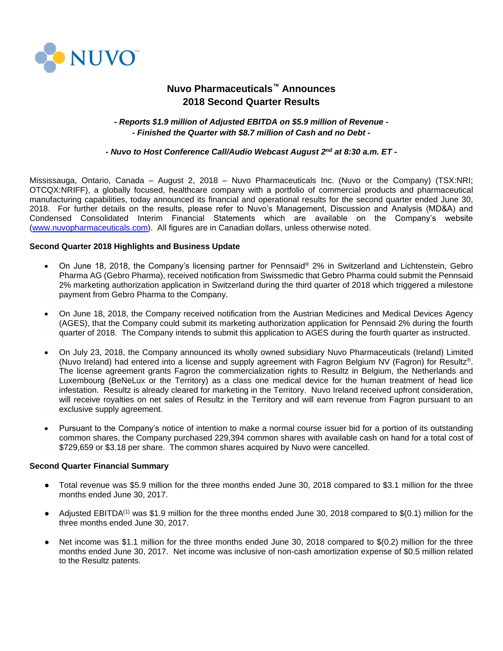

# **Nuvo Pharmaceuticals™ Announces 2018 Second Quarter Results**

# *- Reports \$1.9 million of Adjusted EBITDA on \$5.9 million of Revenue - - Finished the Quarter with \$8.7 million of Cash and no Debt -*

## *- Nuvo to Host Conference Call/Audio Webcast August 2nd at 8:30 a.m. ET -*

Mississauga, Ontario, Canada – August 2, 2018 – Nuvo Pharmaceuticals Inc. (Nuvo or the Company) (TSX:NRI; OTCQX:NRIFF), a globally focused, healthcare company with a portfolio of commercial products and pharmaceutical manufacturing capabilities, today announced its financial and operational results for the second quarter ended June 30, 2018. For further details on the results, please refer to Nuvo's Management, Discussion and Analysis (MD&A) and Condensed Consolidated Interim Financial Statements which are available on the Company's website [\(www.nuvopharmaceuticals.com\)](http://www.nuvopharmaceuticals.com/). All figures are in Canadian dollars, unless otherwise noted.

## **Second Quarter 2018 Highlights and Business Update**

- On June 18, 2018, the Company's licensing partner for Pennsaid® 2% in Switzerland and Lichtenstein, Gebro Pharma AG (Gebro Pharma), received notification from Swissmedic that Gebro Pharma could submit the Pennsaid 2% marketing authorization application in Switzerland during the third quarter of 2018 which triggered a milestone payment from Gebro Pharma to the Company.
- On June 18, 2018, the Company received notification from the Austrian Medicines and Medical Devices Agency (AGES), that the Company could submit its marketing authorization application for Pennsaid 2% during the fourth quarter of 2018. The Company intends to submit this application to AGES during the fourth quarter as instructed.
- On July 23, 2018, the Company announced its wholly owned subsidiary Nuvo Pharmaceuticals (Ireland) Limited (Nuvo Ireland) had entered into a license and supply agreement with Fagron Belgium NV (Fagron) for Resultz®. The license agreement grants Fagron the commercialization rights to Resultz in Belgium, the Netherlands and Luxembourg (BeNeLux or the Territory) as a class one medical device for the human treatment of head lice infestation. Resultz is already cleared for marketing in the Territory. Nuvo Ireland received upfront consideration, will receive royalties on net sales of Resultz in the Territory and will earn revenue from Fagron pursuant to an exclusive supply agreement.
- Pursuant to the Company's notice of intention to make a normal course issuer bid for a portion of its outstanding common shares, the Company purchased 229,394 common shares with available cash on hand for a total cost of \$729,659 or \$3.18 per share. The common shares acquired by Nuvo were cancelled.

## **Second Quarter Financial Summary**

- Total revenue was \$5.9 million for the three months ended June 30, 2018 compared to \$3.1 million for the three months ended June 30, 2017.
- Adjusted EBITDA<sup>(1)</sup> was \$1.9 million for the three months ended June 30, 2018 compared to \$(0.1) million for the three months ended June 30, 2017.
- Net income was \$1.1 million for the three months ended June 30, 2018 compared to  $$(0.2)$  million for the three months ended June 30, 2017. Net income was inclusive of non-cash amortization expense of \$0.5 million related to the Resultz patents.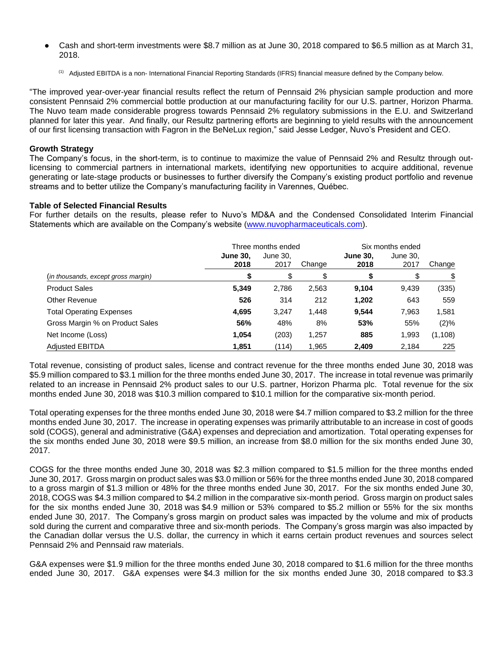- Cash and short-term investments were \$8.7 million as at June 30, 2018 compared to \$6.5 million as at March 31, 2018.
	- <sup>(1)</sup> Adjusted EBITDA is a non- International Financial Reporting Standards (IFRS) financial measure defined by the Company below.

"The improved year-over-year financial results reflect the return of Pennsaid 2% physician sample production and more consistent Pennsaid 2% commercial bottle production at our manufacturing facility for our U.S. partner, Horizon Pharma. The Nuvo team made considerable progress towards Pennsaid 2% regulatory submissions in the E.U. and Switzerland planned for later this year. And finally, our Resultz partnering efforts are beginning to yield results with the announcement of our first licensing transaction with Fagron in the BeNeLux region," said Jesse Ledger, Nuvo's President and CEO.

# **Growth Strategy**

The Company's focus, in the short-term, is to continue to maximize the value of Pennsaid 2% and Resultz through outlicensing to commercial partners in international markets, identifying new opportunities to acquire additional, revenue generating or late-stage products or businesses to further diversify the Company's existing product portfolio and revenue streams and to better utilize the Company's manufacturing facility in Varennes, Québec.

## **Table of Selected Financial Results**

For further details on the results, please refer to Nuvo's MD&A and the Condensed Consolidated Interim Financial Statements which are available on the Company's website [\(www.nuvopharmaceuticals.com\)](http://www.nuvopharmaceuticals.com/).

|                                     |                         | Three months ended |        | Six months ended        |                  |          |
|-------------------------------------|-------------------------|--------------------|--------|-------------------------|------------------|----------|
|                                     | <b>June 30.</b><br>2018 | June 30,<br>2017   | Change | <b>June 30.</b><br>2018 | June 30.<br>2017 | Change   |
| (in thousands, except gross margin) | S                       | \$                 |        |                         | \$               | \$       |
| <b>Product Sales</b>                | 5,349                   | 2,786              | 2,563  | 9,104                   | 9,439            | (335)    |
| Other Revenue                       | 526                     | 314                | 212    | 1,202                   | 643              | 559      |
| <b>Total Operating Expenses</b>     | 4,695                   | 3,247              | 1,448  | 9,544                   | 7,963            | 1,581    |
| Gross Margin % on Product Sales     | 56%                     | 48%                | 8%     | 53%                     | 55%              | (2)%     |
| Net Income (Loss)                   | 1,054                   | (203)              | 1,257  | 885                     | 1,993            | (1, 108) |
| <b>Adiusted EBITDA</b>              | 1,851                   | (114)              | 1,965  | 2,409                   | 2.184            | 225      |

Total revenue, consisting of product sales, license and contract revenue for the three months ended June 30, 2018 was \$5.9 million compared to \$3.1 million for the three months ended June 30, 2017. The increase in total revenue was primarily related to an increase in Pennsaid 2% product sales to our U.S. partner, Horizon Pharma plc. Total revenue for the six months ended June 30, 2018 was \$10.3 million compared to \$10.1 million for the comparative six-month period.

Total operating expenses for the three months ended June 30, 2018 were \$4.7 million compared to \$3.2 million for the three months ended June 30, 2017. The increase in operating expenses was primarily attributable to an increase in cost of goods sold (COGS), general and administrative (G&A) expenses and depreciation and amortization. Total operating expenses for the six months ended June 30, 2018 were \$9.5 million, an increase from \$8.0 million for the six months ended June 30, 2017.

COGS for the three months ended June 30, 2018 was \$2.3 million compared to \$1.5 million for the three months ended June 30, 2017. Gross margin on product sales was \$3.0 million or 56% for the three months ended June 30, 2018 compared to a gross margin of \$1.3 million or 48% for the three months ended June 30, 2017. For the six months ended June 30, 2018, COGS was \$4.3 million compared to \$4.2 million in the comparative six-month period. Gross margin on product sales for the six months ended June 30, 2018 was \$4.9 million or 53% compared to \$5.2 million or 55% for the six months ended June 30, 2017. The Company's gross margin on product sales was impacted by the volume and mix of products sold during the current and comparative three and six-month periods. The Company's gross margin was also impacted by the Canadian dollar versus the U.S. dollar, the currency in which it earns certain product revenues and sources select Pennsaid 2% and Pennsaid raw materials.

G&A expenses were \$1.9 million for the three months ended June 30, 2018 compared to \$1.6 million for the three months ended June 30, 2017. G&A expenses were \$4.3 million for the six months ended June 30, 2018 compared to \$3.3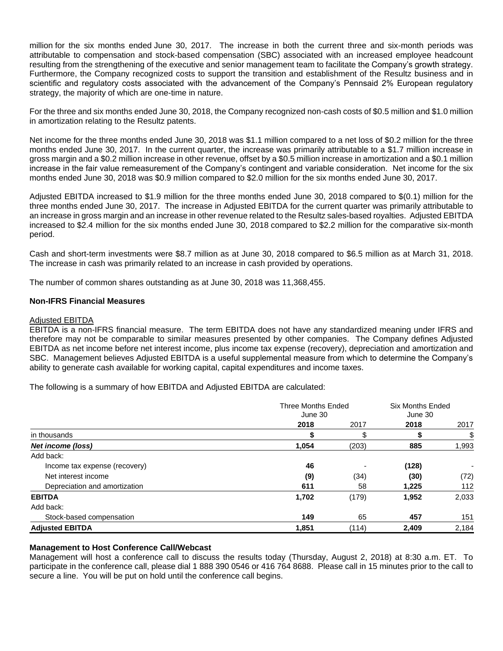million for the six months ended June 30, 2017. The increase in both the current three and six-month periods was attributable to compensation and stock-based compensation (SBC) associated with an increased employee headcount resulting from the strengthening of the executive and senior management team to facilitate the Company's growth strategy. Furthermore, the Company recognized costs to support the transition and establishment of the Resultz business and in scientific and regulatory costs associated with the advancement of the Company's Pennsaid 2% European regulatory strategy, the majority of which are one-time in nature.

For the three and six months ended June 30, 2018, the Company recognized non-cash costs of \$0.5 million and \$1.0 million in amortization relating to the Resultz patents.

Net income for the three months ended June 30, 2018 was \$1.1 million compared to a net loss of \$0.2 million for the three months ended June 30, 2017. In the current quarter, the increase was primarily attributable to a \$1.7 million increase in gross margin and a \$0.2 million increase in other revenue, offset by a \$0.5 million increase in amortization and a \$0.1 million increase in the fair value remeasurement of the Company's contingent and variable consideration. Net income for the six months ended June 30, 2018 was \$0.9 million compared to \$2.0 million for the six months ended June 30, 2017.

Adjusted EBITDA increased to \$1.9 million for the three months ended June 30, 2018 compared to \$(0.1) million for the three months ended June 30, 2017. The increase in Adjusted EBITDA for the current quarter was primarily attributable to an increase in gross margin and an increase in other revenue related to the Resultz sales-based royalties. Adjusted EBITDA increased to \$2.4 million for the six months ended June 30, 2018 compared to \$2.2 million for the comparative six-month period.

Cash and short-term investments were \$8.7 million as at June 30, 2018 compared to \$6.5 million as at March 31, 2018. The increase in cash was primarily related to an increase in cash provided by operations.

The number of common shares outstanding as at June 30, 2018 was 11,368,455.

## **Non-IFRS Financial Measures**

#### Adjusted EBITDA

EBITDA is a non-IFRS financial measure. The term EBITDA does not have any standardized meaning under IFRS and therefore may not be comparable to similar measures presented by other companies. The Company defines Adjusted EBITDA as net income before net interest income, plus income tax expense (recovery), depreciation and amortization and SBC. Management believes Adjusted EBITDA is a useful supplemental measure from which to determine the Company's ability to generate cash available for working capital, capital expenditures and income taxes.

The following is a summary of how EBITDA and Adjusted EBITDA are calculated:

|                               | <b>Three Months Ended</b><br>June 30 | <b>Six Months Ended</b><br>June 30 |       |       |
|-------------------------------|--------------------------------------|------------------------------------|-------|-------|
|                               | 2018                                 | 2017                               | 2018  | 2017  |
| in thousands                  |                                      | \$                                 |       | \$    |
| <b>Net income (loss)</b>      | 1,054                                | (203)                              | 885   | 1,993 |
| Add back:                     |                                      |                                    |       |       |
| Income tax expense (recovery) | 46                                   | $\overline{\phantom{0}}$           | (128) |       |
| Net interest income           | (9)                                  | (34)                               | (30)  | (72)  |
| Depreciation and amortization | 611                                  | 58                                 | 1.225 | 112   |
| <b>EBITDA</b>                 | 1,702                                | (179)                              | 1,952 | 2,033 |
| Add back:                     |                                      |                                    |       |       |
| Stock-based compensation      | 149                                  | 65                                 | 457   | 151   |
| <b>Adjusted EBITDA</b>        | 1,851                                | (114)                              | 2,409 | 2,184 |

## **Management to Host Conference Call/Webcast**

Management will host a conference call to discuss the results today (Thursday, August 2, 2018) at 8:30 a.m. ET. To participate in the conference call, please dial 1 888 390 0546 or 416 764 8688. Please call in 15 minutes prior to the call to secure a line. You will be put on hold until the conference call begins.